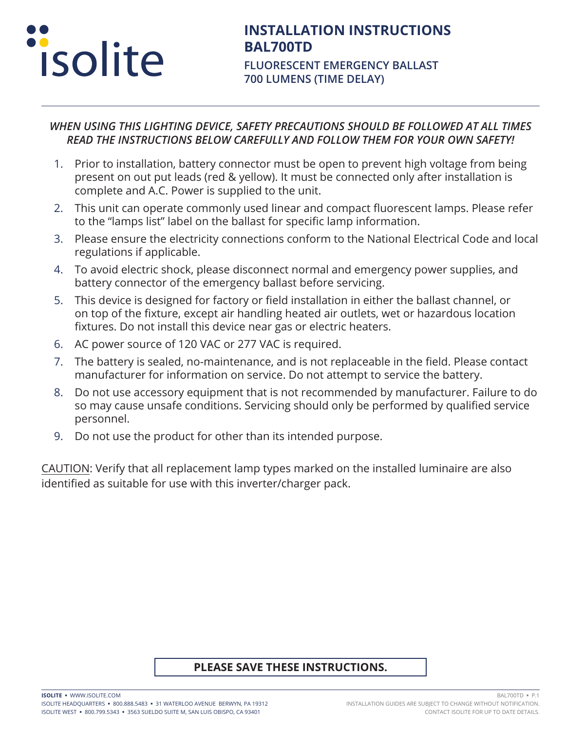

# **INSTALLATION INSTRUCTIONS BAL700TD**

**FLUORESCENT EMERGENCY BALLAST 700 LUMENS (TIME DELAY)**

#### *WHEN USING THIS LIGHTING DEVICE, SAFETY PRECAUTIONS SHOULD BE FOLLOWED AT ALL TIMES READ THE INSTRUCTIONS BELOW CAREFULLY AND FOLLOW THEM FOR YOUR OWN SAFETY!*

- 1. Prior to installation, battery connector must be open to prevent high voltage from being present on out put leads (red & yellow). It must be connected only after installation is complete and A.C. Power is supplied to the unit.
- 2. This unit can operate commonly used linear and compact fluorescent lamps. Please refer to the "lamps list" label on the ballast for specific lamp information.
- 3. Please ensure the electricity connections conform to the National Electrical Code and local regulations if applicable.
- 4. To avoid electric shock, please disconnect normal and emergency power supplies, and battery connector of the emergency ballast before servicing.
- 5. This device is designed for factory or field installation in either the ballast channel, or on top of the fixture, except air handling heated air outlets, wet or hazardous location fixtures. Do not install this device near gas or electric heaters.
- 6. AC power source of 120 VAC or 277 VAC is required.
- 7. The battery is sealed, no-maintenance, and is not replaceable in the field. Please contact manufacturer for information on service. Do not attempt to service the battery.
- 8. Do not use accessory equipment that is not recommended by manufacturer. Failure to do so may cause unsafe conditions. Servicing should only be performed by qualified service personnel.
- 9. Do not use the product for other than its intended purpose.

CAUTION: Verify that all replacement lamp types marked on the installed luminaire are also identified as suitable for use with this inverter/charger pack.

### **PLEASE SAVE THESE INSTRUCTIONS.**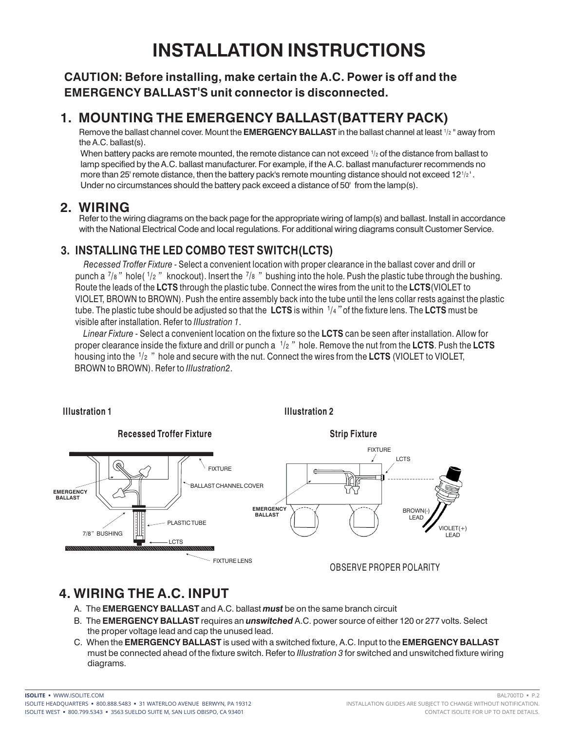# **INSTALLATION INSTRUCTIONS**

### **CAUTION: Before installing, make certain the A.C. Power is off and the EMERGENCY BALLAST'S unit connector is disconnected.**

## **1. MOUNTING THE EMERGENCY BALLAST(BATTERY PACK)**

Remove the ballast channel cover. Mount the **EMERGENCY BALLAST** in the ballast channel at least 1/2 " away from the A.C. ballast(s).

When battery packs are remote mounted, the remote distance can not exceed  $1/2$  of the distance from ballast to lamp specified by the A.C. ballast manufacturer. For example, if the A.C. ballast manufacturer recommends no more than 25' remote distance, then the battery pack's remote mounting distance should not exceed  $12$ <sup>1/2'</sup>. Under no circumstances should the battery pack exceed a distance of 50' from the lamp(s).

### **2. WIRING**

Refer to the wiring diagrams on the back page for the appropriate wiring of lamp(s) and ballast. Install in accordance with the National Electrical Code and local regulations. For additional wiring diagrams consult Customer Service.

## **3. INSTALLING THE LED COMBO TEST SWITCH(LCTS)**

 *Recessed Troffer Fixture* - Select a convenient location with proper clearance in the ballast cover and drill or punch a  $\frac{7}{8}$  " hole(  $\frac{1}{2}$  " knockout). Insert the  $\frac{7}{8}$  " bushing into the hole. Push the plastic tube through the bushing. Route the leads of the **LCTS** through the plastic tube. Connect the wires from the unit to the **LCTS**(VIOLET to VIOLET, BROWN to BROWN). Push the entire assembly back into the tube until the lens collar rests against the plastic tube. The plastic tube should be adjusted so that the LCTS is within 1/4" of the fixture lens. The LCTS must be visible after installation. Refer to *IIIustration 1*.

 *Linear Fixture* - Select a convenient location on the fixture so the **LCTS** can be seen after installation. Allow for proper clearance inside the fixture and drill or punch a  $~^{1}\!/$ 2  $~''$  hole. Remove the nut from the **LCTS**. Push the **LCTS** housing into the 1/2  $\,$  " hole and secure with the nut. Connect the wires from the **LCTS** (VIOLET to VIOLET, BROWN to BROWN). Refer to *IIIustration2*.



# **4. WIRING THE A.C. INPUT**

- A. The **EMERGENCY BALLAST** and A.C. ballast *must* be on the same branch circuit
- B. The **EMERGENCY BALLAST** requires an *unswitched* A.C. power source of either 120 or 277 volts. Select the proper voltage lead and cap the unused lead.
- C. When the **EMERGENCY BALLAST** is used with a switched fixture, A.C. Input to the **EMERGENCY BALLAST** must be connected ahead of the fixture switch. Refer to *IIIustration 3* for switched and unswitched fixture wiring diagrams.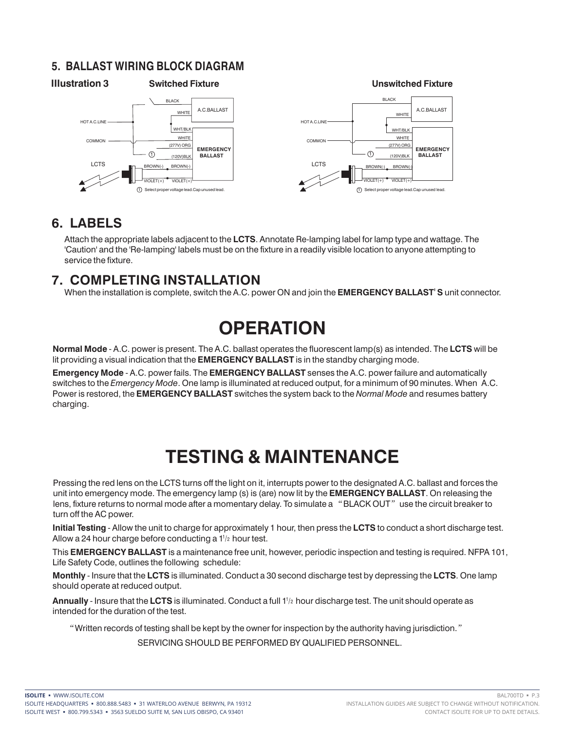### **5. BALLAST WIRING BLOCK DIAGRAM**





## **6. LABELS**

Attach the appropriate labels adjacent to the **LCTS**. Annotate Re-lamping label for lamp type and wattage. The 'Caution' and the 'Re-lamping' labels must be on the fixture in a readily visible location to anyone attempting to service the fixture.

## **7. COMPLETING INSTALLATION**

When the installation is complete, switch the A.C. power ON and join the **EMERGENCY BALLAST**' **S** unit connector.

# **OPERATION**

**Normal Mode** - A.C. power is present. The A.C. ballast operates the fluorescent lamp(s) as intended. The **LCTS** will be lit providing a visual indication that the **EMERGENCY BALLAST** is in the standby charging mode.

**Emergency Mode** - A.C. power fails. The **EMERGENCY BALLAST** senses the A.C. power failure and automatically switches to the *Emergency Mode*. One lamp is illuminated at reduced output, for a minimum of 90 minutes. When A.C. Power is restored, the **EMERGENCY BALLAST** switches the system back to the *Normal Mode* and resumes battery charging.

# **TESTING & MAINTENANCE**

Pressing the red lens on the LCTS turns off the light on it, interrupts power to the designated A.C. ballast and forces the unit into emergency mode. The emergency lamp (s) is (are) now lit by the **EMERGENCY BALLAST**. On releasing the lens, fixture returns to normal mode after a momentary delay. To simulate a "BLACK OUT" use the circuit breaker to turn off the AC power.

**Initial Testing** - Allow the unit to charge for approximately 1 hour, then press the **LCTS** to conduct a short discharge test. Allow a 24 hour charge before conducting a  $1^{1/2}$  hour test.

This **EMERGENCY BALLAST** is a maintenance free unit, however, periodic inspection and testing is required. NFPA 101, Life Safety Code, outlines the following schedule:

**Monthly** - Insure that the **LCTS** is illuminated. Conduct a 30 second discharge test by depressing the **LCTS**. One lamp should operate at reduced output.

Annually - Insure that the LCTS is illuminated. Conduct a full 1<sup>1</sup>/2 hour discharge test. The unit should operate as intended for the duration of the test.

"Written records of testing shall be kept by the owner for inspection by the authority having jurisdiction."

SERVICING SHOULD BE PERFORMED BY QUALIFIED PERSONNEL.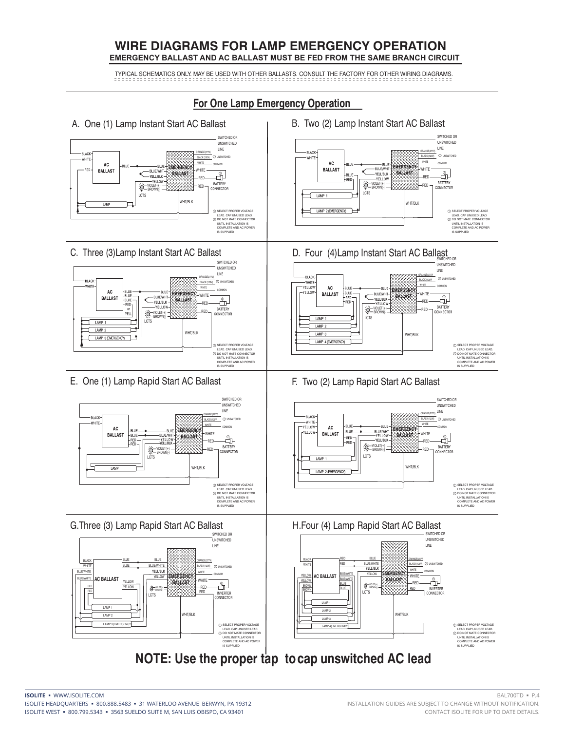#### **WIRE DIAGRAMS FOR LAMP EMERGENCY OPERATION EMERGENCY BALLAST AND AC BALLAST MUST BE FED FROM THE SAME BRANCH CIRCUIT**

TYPICAL SCHEMATICS ONLY. MAY BE USED WITH OTHER BALLASTS. CONSULT THE FACTORY FOR OTHER WIRING DIAGRAMS.

#### **For One Lamp Emergency Operation**